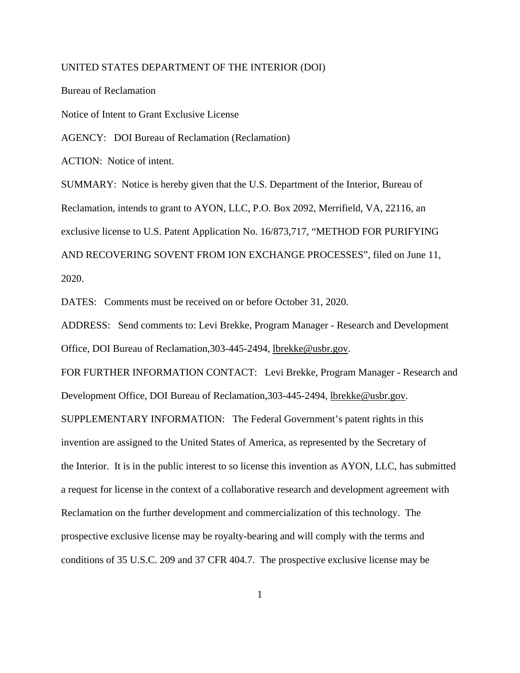## UNITED STATES DEPARTMENT OF THE INTERIOR (DOI)

Bureau of Reclamation Notice of Intent to Grant Exclusive License AGENCY: DOI Bureau of Reclamation (Reclamation) ACTION: Notice of intent. SUMMARY: Notice is hereby given that the U.S. Department of the Interior, Bureau of Reclamation, intends to grant to AYON, LLC, P.O. Box 2092, Merrifield, VA, 22116, an exclusive license to U.S. Patent Application No. 16/873,717, "METHOD FOR PURIFYING AND RECOVERING SOVENT FROM ION EXCHANGE PROCESSES", filed on June 11, 2020.

DATES: Comments must be received on or before October 31, 2020.

ADDRESS: Send comments to: Levi Brekke, Program Manager - Research and Development Office, DOI Bureau of Reclamation,303-445-2494, [lbrekke@usbr.gov.](mailto:Thomas.moreland@usda.gov)

FOR FURTHER INFORMATION CONTACT: Levi Brekke, Program Manager - Research and Development Office, DOI Bureau of Reclamation,303-445-2494, [lbrekke@usbr.gov.](mailto:Thomas.moreland@usda.gov)

SUPPLEMENTARY INFORMATION: The Federal Government's patent rights in this invention are assigned to the United States of America, as represented by the Secretary of the Interior. It is in the public interest to so license this invention as AYON, LLC, has submitted a request for license in the context of a collaborative research and development agreement with Reclamation on the further development and commercialization of this technology. The prospective exclusive license may be royalty-bearing and will comply with the terms and conditions of 35 U.S.C. 209 and 37 CFR 404.7. The prospective exclusive license may be